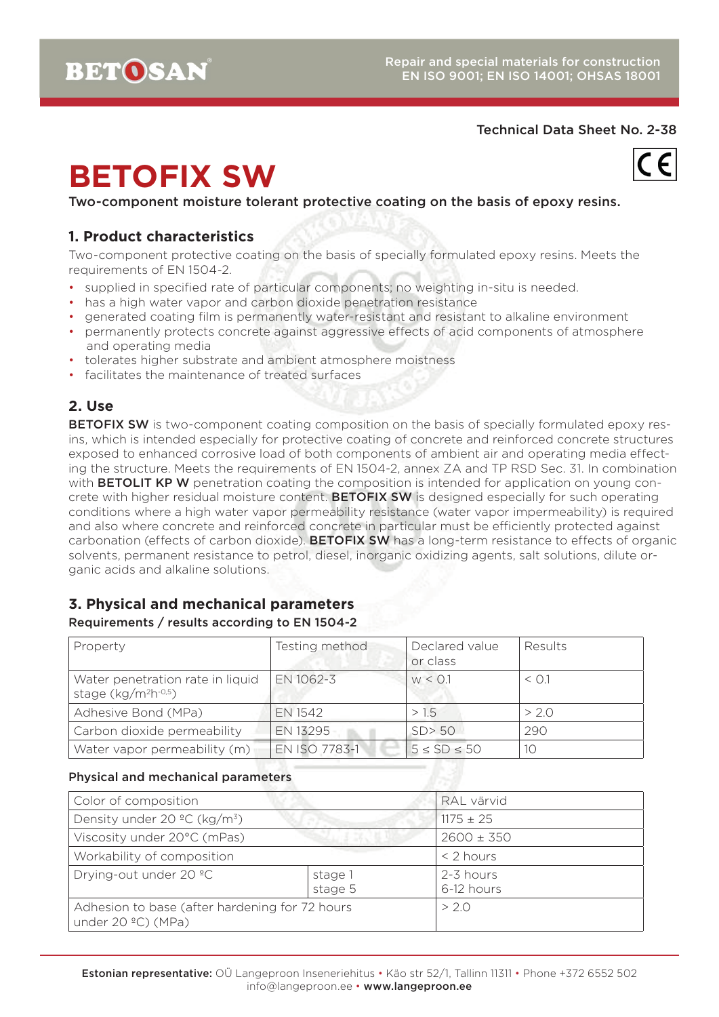

Two-component moisture tolerant protective coating on the basis of epoxy resins.

### **1. Product characteristics**

Two-component protective coating on the basis of specially formulated epoxy resins. Meets the requirements of EN 1504-2.

- supplied in specified rate of particular components; no weighting in-situ is needed.
- has a high water vapor and carbon dioxide penetration resistance
- generated coating film is permanently water-resistant and resistant to alkaline environment
- permanently protects concrete against aggressive effects of acid components of atmosphere and operating media
- tolerates higher substrate and ambient atmosphere moistness
- facilitates the maintenance of treated surfaces

### **2. Use**

BETOFIX SW is two-component coating composition on the basis of specially formulated epoxy resins, which is intended especially for protective coating of concrete and reinforced concrete structures exposed to enhanced corrosive load of both components of ambient air and operating media effecting the structure. Meets the requirements of EN 1504-2, annex ZA and TP RSD Sec. 31. In combination with **BETOLIT KP W** penetration coating the composition is intended for application on young concrete with higher residual moisture content. **BETOFIX SW** is designed especially for such operating conditions where a high water vapor permeability resistance (water vapor impermeability) is required and also where concrete and reinforced concrete in particular must be efficiently protected against carbonation (effects of carbon dioxide). BETOFIX SW has a long-term resistance to effects of organic solvents, permanent resistance to petrol, diesel, inorganic oxidizing agents, salt solutions, dilute organic acids and alkaline solutions.

# **3. Physical and mechanical parameters**

#### Requirements / results according to EN 1504-2

| Property                                                            | Testing method | Declared value<br>or class | Results    |
|---------------------------------------------------------------------|----------------|----------------------------|------------|
| Water penetration rate in liquid<br>stage (kg/m <sup>2</sup> h-0,5) | EN 1062-3      | W < 0.1                    | $\leq$ 0.1 |
| Adhesive Bond (MPa)                                                 | EN 1542        | >1.5                       | >2.0       |
| Carbon dioxide permeability                                         | EN 13295       | SD > 50                    | 290        |
| Water vapor permeability (m)                                        | EN ISO 7783-1  | $5 \le SD \le 50$          | 10         |

#### Physical and mechanical parameters

| Color of composition                                                 |                    | RAL värvid              |
|----------------------------------------------------------------------|--------------------|-------------------------|
| Density under 20 $^{\circ}$ C (kg/m <sup>3</sup> )                   |                    | $1175 \pm 25$           |
| Viscosity under 20°C (mPas)                                          |                    | $2600 \pm 350$          |
| Workability of composition                                           |                    | $<$ 2 hours             |
| Drying-out under 20 °C                                               | stage 1<br>stage 5 | 2-3 hours<br>6-12 hours |
| Adhesion to base (after hardening for 72 hours<br>under 20 °C) (MPa) |                    | >2.0                    |

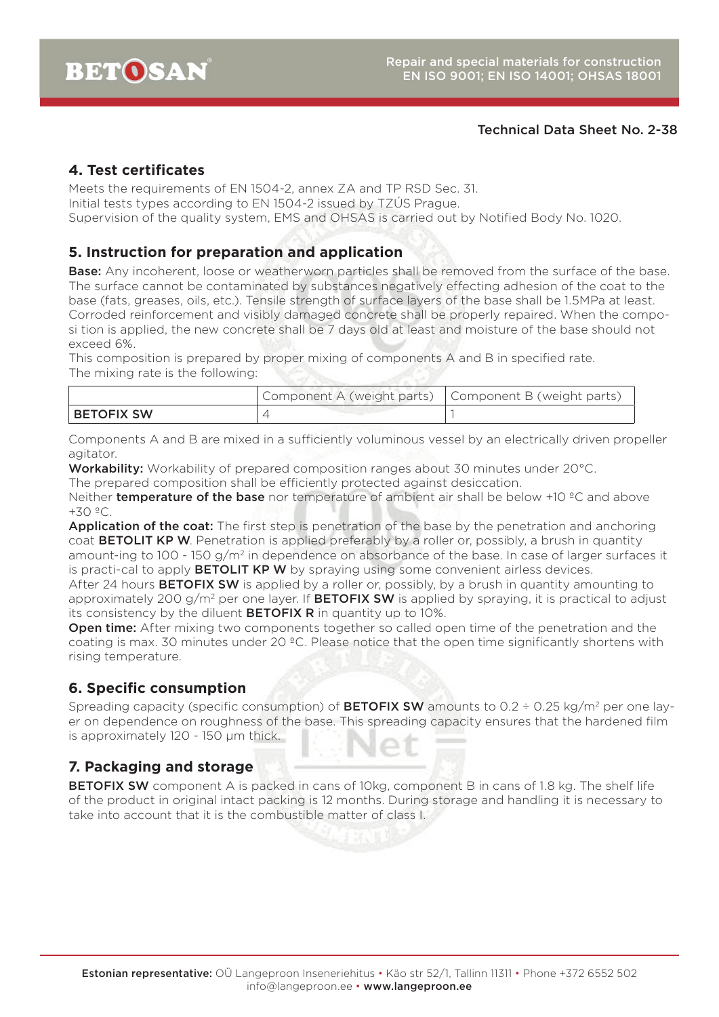### **4. Test certificates**

Meets the requirements of EN 1504-2, annex ZA and TP RSD Sec. 31. Initial tests types according to EN 1504-2 issued by TZÚS Prague. Supervision of the quality system, EMS and OHSAS is carried out by Notified Body No. 1020.

### **5. Instruction for preparation and application**

**Base:** Any incoherent, loose or weatherworn particles shall be removed from the surface of the base. The surface cannot be contaminated by substances negatively effecting adhesion of the coat to the base (fats, greases, oils, etc.). Tensile strength of surface layers of the base shall be 1.5MPa at least. Corroded reinforcement and visibly damaged concrete shall be properly repaired. When the composi tion is applied, the new concrete shall be 7 days old at least and moisture of the base should not exceed 6%.

This composition is prepared by proper mixing of components A and B in specified rate. The mixing rate is the following:

|              | Component A (weight parts)   Component B (weight parts) |  |
|--------------|---------------------------------------------------------|--|
| I BETOFIX SW |                                                         |  |

Components A and B are mixed in a sufficiently voluminous vessel by an electrically driven propeller agitator.

Workability: Workability of prepared composition ranges about 30 minutes under 20°C.

The prepared composition shall be efficiently protected against desiccation.

Neither **temperature of the base** nor temperature of ambient air shall be below  $+10$  °C and above +30 ºC.

Application of the coat: The first step is penetration of the base by the penetration and anchoring coat **BETOLIT KP W.** Penetration is applied preferably by a roller or, possibly, a brush in quantity amount-ing to 100 - 150  $q/m^2$  in dependence on absorbance of the base. In case of larger surfaces it is practi-cal to apply **BETOLIT KP W** by spraying using some convenient airless devices.

After 24 hours **BETOFIX SW** is applied by a roller or, possibly, by a brush in quantity amounting to approximately 200 g/m<sup>2</sup> per one layer. If **BETOFIX SW** is applied by spraying, it is practical to adjust its consistency by the diluent **BETOFIX R** in quantity up to  $10\%$ .

**Open time:** After mixing two components together so called open time of the penetration and the coating is max. 30 minutes under 20 °C. Please notice that the open time significantly shortens with rising temperature.

### **6. Specific consumption**

Spreading capacity (specific consumption) of **BETOFIX SW** amounts to 0.2  $\div$  0.25 kg/m<sup>2</sup> per one layer on dependence on roughness of the base. This spreading capacity ensures that the hardened film is approximately 120 - 150 µm thick.

### **7. Packaging and storage**

BETOFIX SW component A is packed in cans of 10kg, component B in cans of 1.8 kg. The shelf life of the product in original intact packing is 12 months. During storage and handling it is necessary to take into account that it is the combustible matter of class I.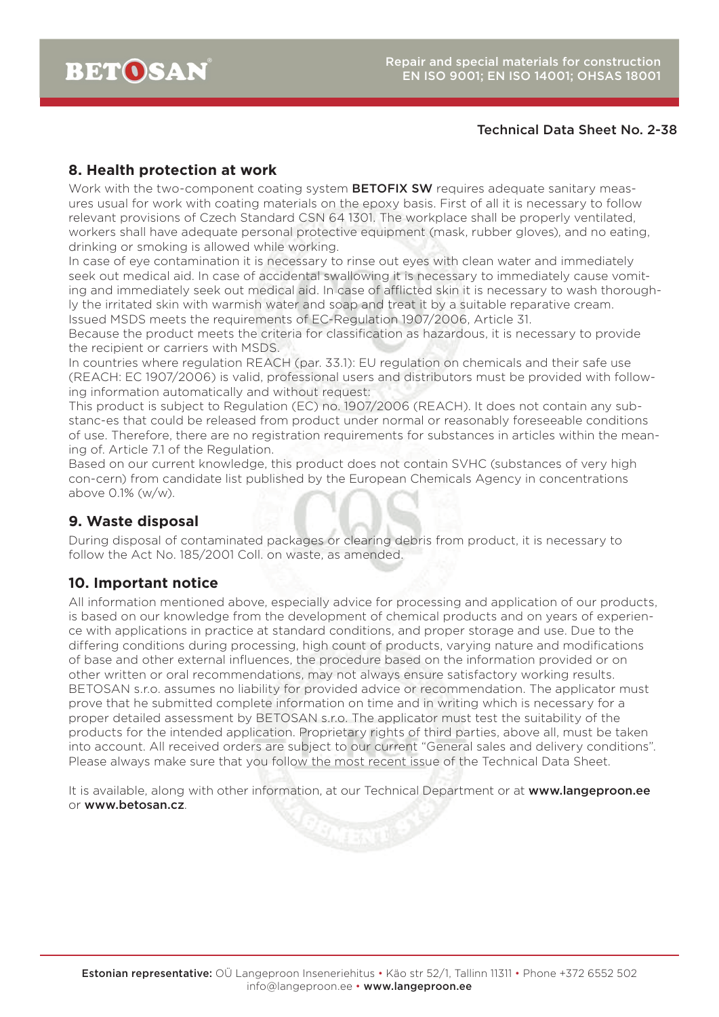### **8. Health protection at work**

Work with the two-component coating system **BETOFIX SW** requires adequate sanitary measures usual for work with coating materials on the epoxy basis. First of all it is necessary to follow relevant provisions of Czech Standard CSN 64 1301. The workplace shall be properly ventilated, workers shall have adequate personal protective equipment (mask, rubber gloves), and no eating, drinking or smoking is allowed while working.

In case of eye contamination it is necessary to rinse out eyes with clean water and immediately seek out medical aid. In case of accidental swallowing it is necessary to immediately cause vomiting and immediately seek out medical aid. In case of afflicted skin it is necessary to wash thoroughly the irritated skin with warmish water and soap and treat it by a suitable reparative cream. Issued MSDS meets the requirements of EC-Regulation 1907/2006, Article 31.

Because the product meets the criteria for classification as hazardous, it is necessary to provide the recipient or carriers with MSDS.

In countries where regulation REACH (par. 33.1): EU regulation on chemicals and their safe use (REACH: EC 1907/2006) is valid, professional users and distributors must be provided with following information automatically and without request:

This product is subject to Regulation (EC) no. 1907/2006 (REACH). It does not contain any substanc-es that could be released from product under normal or reasonably foreseeable conditions of use. Therefore, there are no registration requirements for substances in articles within the meaning of. Article 7.1 of the Regulation.

Based on our current knowledge, this product does not contain SVHC (substances of very high con-cern) from candidate list published by the European Chemicals Agency in concentrations above 0.1% (w/w).

### **9. Waste disposal**

During disposal of contaminated packages or clearing debris from product, it is necessary to follow the Act No. 185/2001 Coll. on waste, as amended.

### **10. Important notice**

All information mentioned above, especially advice for processing and application of our products, is based on our knowledge from the development of chemical products and on years of experience with applications in practice at standard conditions, and proper storage and use. Due to the differing conditions during processing, high count of products, varying nature and modifications of base and other external influences, the procedure based on the information provided or on other written or oral recommendations, may not always ensure satisfactory working results. BETOSAN s.r.o. assumes no liability for provided advice or recommendation. The applicator must prove that he submitted complete information on time and in writing which is necessary for a proper detailed assessment by BETOSAN s.r.o. The applicator must test the suitability of the products for the intended application. Proprietary rights of third parties, above all, must be taken into account. All received orders are subject to our current "General sales and delivery conditions". Please always make sure that you follow the most recent issue of the Technical Data Sheet.

It is available, along with other information, at our Technical Department or at www.langeproon.ee or www.betosan.cz.